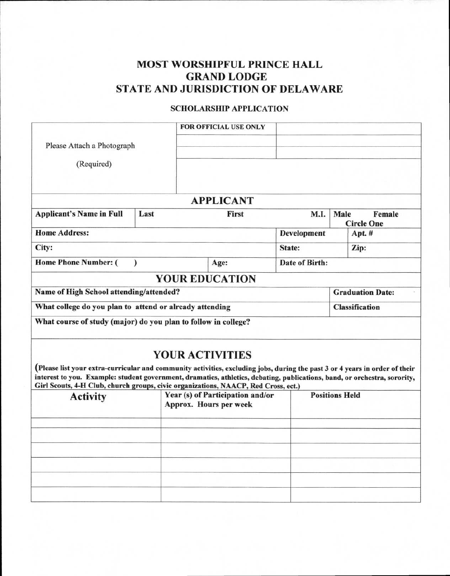## **MOST WORSHIPFUL PRINCE HALL GRAND LODGE STATE AND JURISDICTION OF DELAWARE**

## **SCHOLARSHIP APPLICATION**

|                                                                                                                                                                                                                                                                                                                                                |           |                                                            | <b>FOR OFFICIAL USE ONLY</b> |                       |                    |  |                         |
|------------------------------------------------------------------------------------------------------------------------------------------------------------------------------------------------------------------------------------------------------------------------------------------------------------------------------------------------|-----------|------------------------------------------------------------|------------------------------|-----------------------|--------------------|--|-------------------------|
| Please Attach a Photograph                                                                                                                                                                                                                                                                                                                     |           |                                                            |                              |                       |                    |  |                         |
| (Required)                                                                                                                                                                                                                                                                                                                                     |           |                                                            |                              |                       |                    |  |                         |
|                                                                                                                                                                                                                                                                                                                                                |           |                                                            | <b>APPLICANT</b>             |                       |                    |  |                         |
| <b>Applicant's Name in Full</b>                                                                                                                                                                                                                                                                                                                | Last      | Male<br>Female<br>First<br>M.I.<br><b>Circle One</b>       |                              |                       |                    |  |                         |
| <b>Home Address:</b>                                                                                                                                                                                                                                                                                                                           |           |                                                            |                              |                       | <b>Development</b> |  | Apt. #                  |
| City:                                                                                                                                                                                                                                                                                                                                          |           |                                                            |                              |                       | State:             |  | Zip:                    |
| <b>Home Phone Number: (</b>                                                                                                                                                                                                                                                                                                                    | $\lambda$ |                                                            | Age:                         |                       | Date of Birth:     |  |                         |
|                                                                                                                                                                                                                                                                                                                                                |           |                                                            | <b>YOUR EDUCATION</b>        |                       |                    |  |                         |
| Name of High School attending/attended?                                                                                                                                                                                                                                                                                                        |           |                                                            |                              |                       |                    |  | <b>Graduation Date:</b> |
| What college do you plan to attend or already attending                                                                                                                                                                                                                                                                                        |           |                                                            |                              |                       |                    |  | <b>Classification</b>   |
| What course of study (major) do you plan to follow in college?                                                                                                                                                                                                                                                                                 |           |                                                            |                              |                       |                    |  |                         |
| (Please list your extra-curricular and community activities, excluding jobs, during the past 3 or 4 years in order of their<br>interest to you. Example: student government, dramatics, athletics, debating, publications, band, or orchestra, sorority,<br>Girl Scouts, 4-H Club, church groups, civic organizations, NAACP, Red Cross, ect.) |           |                                                            | <b>YOUR ACTIVITIES</b>       |                       |                    |  |                         |
| <b>Activity</b>                                                                                                                                                                                                                                                                                                                                |           | Year (s) of Participation and/or<br>Approx. Hours per week |                              | <b>Positions Held</b> |                    |  |                         |
|                                                                                                                                                                                                                                                                                                                                                |           |                                                            |                              |                       |                    |  |                         |
|                                                                                                                                                                                                                                                                                                                                                |           |                                                            |                              |                       |                    |  |                         |
|                                                                                                                                                                                                                                                                                                                                                |           |                                                            |                              |                       |                    |  |                         |
|                                                                                                                                                                                                                                                                                                                                                |           |                                                            |                              |                       |                    |  |                         |